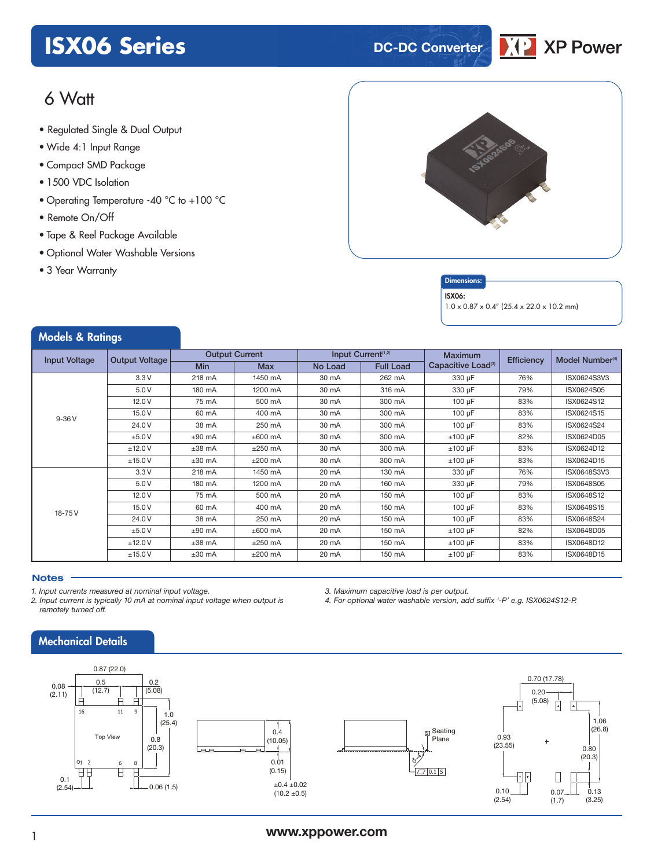# **ISX06 Series DC-DC** Converter



## 6 Watt

- **xxx Series** Regulated Single & Dual Output
- Wide 4:1 Input Range
- Compact SMD Package
- 1500 VDC Isolation
- Operating Temperature -40 °C to +100 °C
- Remote On/Off
- Tape & Reel Package Available
- Optional Water Washable Versions
- 3 Year Warranty



#### **Dimensions**

#### ISX06:

1.0 x 0.87 x 0.4" (25.4 x 22.0 x 10.2 mm)

| <b>Models &amp; Ratings</b> |                       |                       |            |                 |                                |                                |            |                             |
|-----------------------------|-----------------------|-----------------------|------------|-----------------|--------------------------------|--------------------------------|------------|-----------------------------|
| <b>Input Voltage</b>        | <b>Output Voltage</b> | <b>Output Current</b> |            |                 | Input Current <sup>(1,2)</sup> | <b>Maximum</b>                 | Efficiency | Model Number <sup>(4)</sup> |
|                             |                       | <b>Min</b>            | <b>Max</b> | No Load         | <b>Full Load</b>               | Capacitive Load <sup>(3)</sup> |            |                             |
| $9-36V$                     | 3.3V                  | 218 mA                | 1450 mA    | 30 mA           | 262 mA                         | 330 µF                         | 76%        | ISX0624S3V3                 |
|                             | 5.0V                  | 180 mA                | 1200 mA    | 30 mA           | 316 mA                         | 330 µF                         | 79%        | ISX0624S05                  |
|                             | 12.0V                 | 75 mA                 | 500 mA     | 30 mA           | 300 mA                         | $100 \mu F$                    | 83%        | ISX0624S12                  |
|                             | 15.0 V                | 60 mA                 | 400 mA     | 30 mA           | 300 mA                         | $100 \mu F$                    | 83%        | ISX0624S15                  |
|                             | 24.0 V                | 38 mA                 | 250 mA     | 30 mA           | 300 mA                         | 100 µF                         | 83%        | ISX0624S24                  |
|                             | ±5.0V                 | $±90$ mA              | $±600$ mA  | 30 mA           | 300 mA                         | $±100 \mu F$                   | 82%        | ISX0624D05                  |
|                             | ±12.0V                | $±38$ mA              | $±250$ mA  | 30 mA           | 300 mA                         | $±100 \mu F$                   | 83%        | ISX0624D12                  |
|                             | ±15.0V                | $±30$ mA              | $±200$ mA  | 30 mA           | 300 mA                         | $±100 \mu F$                   | 83%        | ISX0624D15                  |
| 18-75V                      | 3.3V                  | 218 mA                | 1450 mA    | 20 mA           | 130 mA                         | 330 µF                         | 76%        | ISX0648S3V3                 |
|                             | 5.0 V                 | 180 mA                | 1200 mA    | 20 mA           | 160 mA                         | 330 µF                         | 79%        | ISX0648S05                  |
|                             | 12.0V                 | 75 mA                 | 500 mA     | $20 \text{ mA}$ | 150 mA                         | $100 \mu F$                    | 83%        | ISX0648S12                  |
|                             | 15.0 V                | 60 mA                 | 400 mA     | 20 mA           | 150 mA                         | $100 \mu F$                    | 83%        | ISX0648S15                  |
|                             | 24.0 V                | 38 mA                 | 250 mA     | $20 \text{ mA}$ | $150 \text{ mA}$               | $100 \mu F$                    | 83%        | ISX0648S24                  |
|                             | ±5.0V                 | $±90$ mA              | $±600$ mA  | 20 mA           | 150 mA                         | $±100 \mu F$                   | 82%        | ISX0648D05                  |
|                             | ±12.0V                | $±38$ mA              | $±250$ mA  | 20 mA           | 150 mA                         | $±100 \mu F$                   | 83%        | ISX0648D12                  |
|                             | ±15.0V                | $±30$ mA              | $±200$ mA  | 20 mA           | 150 mA                         | $±100 \mu F$                   | 83%        | ISX0648D15                  |

#### **Notes**

*1. Input currents measured at nominal input voltage.*

*2. Input current is typically 10 mA at nominal input voltage when output is remotely turned off.*

### Mechanical Details



*3. Maximum capacitive load is per output.*

*4. For optional water washable version, add suffix '-P' e.g. ISX0624S12-P.*

### <sup>1</sup> **www.xppower.com**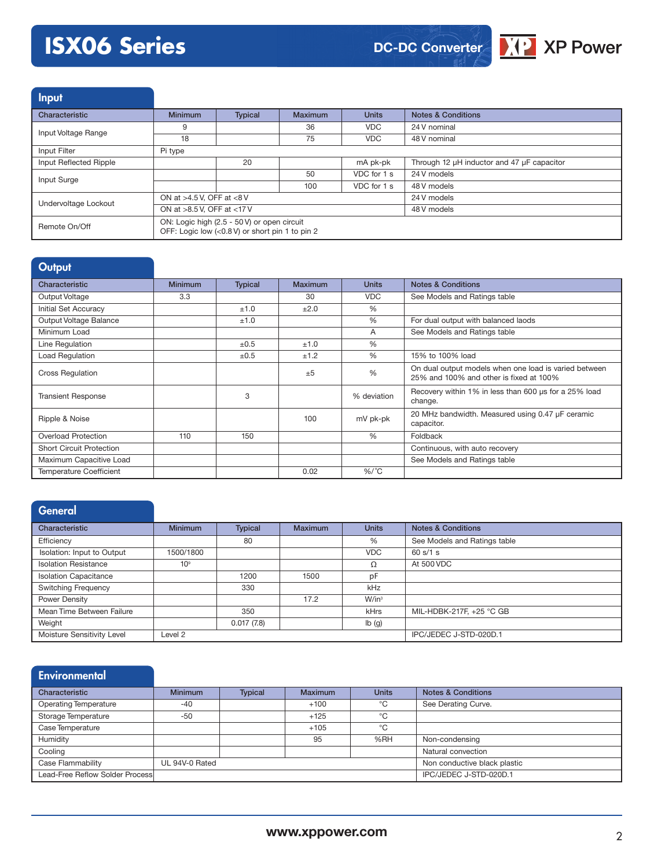# **ISX06 Series**



Input Characteristic **Minimum** Typical Maximum Units Notes & Conditions Input Voltage Range **9** 36 36 VDC 24 V nominal<br>18 75 VDC 48 V nominal 48 V nominal Input Filter Pi type Input Reflected Ripple 20 mA pk-pk Through 12 µH inductor and 47 µF capacitor Input Surge **1.1 State 1.24 Visual Contract 1.24 Visual Contract 2.4 VDC for 1 s 1.24 V models** 100 VDC for 1 s 48 V models Undervoltage Lockout ON at >4.5 V, OFF at <8 V 24 V models ON at >8.5 V, OFF at <17 V 48 V models Remote On/Off ON: Logic high (2.5 - 50 V) or open circuit OFF: Logic low (<0.8 V) or short pin 1 to pin 2

| Output                          |                |                |                |               |                                                                                                  |
|---------------------------------|----------------|----------------|----------------|---------------|--------------------------------------------------------------------------------------------------|
| Characteristic                  | <b>Minimum</b> | <b>Typical</b> | <b>Maximum</b> | <b>Units</b>  | <b>Notes &amp; Conditions</b>                                                                    |
| Output Voltage                  | 3.3            |                | 30             | <b>VDC</b>    | See Models and Ratings table                                                                     |
| Initial Set Accuracy            |                | ±1.0           | ±2.0           | $\frac{0}{0}$ |                                                                                                  |
| Output Voltage Balance          |                | ±1.0           |                | %             | For dual output with balanced laods                                                              |
| Minimum Load                    |                |                |                | A             | See Models and Ratings table                                                                     |
| Line Regulation                 |                | ±0.5           | ±1.0           | $\frac{0}{0}$ |                                                                                                  |
| <b>Load Regulation</b>          |                | $\pm 0.5$      | ±1.2           | $\%$          | 15% to 100% load                                                                                 |
| <b>Cross Regulation</b>         |                |                | $+5$           | %             | On dual output models when one load is varied between<br>25% and 100% and other is fixed at 100% |
| <b>Transient Response</b>       |                | 3              |                | % deviation   | Recovery within 1% in less than 600 us for a 25% load<br>change.                                 |
| Ripple & Noise                  |                |                | 100            | mV pk-pk      | 20 MHz bandwidth. Measured using 0.47 µF ceramic<br>capacitor.                                   |
| <b>Overload Protection</b>      | 110            | 150            |                | $\%$          | Foldback                                                                                         |
| <b>Short Circuit Protection</b> |                |                |                |               | Continuous, with auto recovery                                                                   |
| Maximum Capacitive Load         |                |                |                |               | See Models and Ratings table                                                                     |
| <b>Temperature Coefficient</b>  |                |                | 0.02           | $\%$ /°C      |                                                                                                  |

#### **General**

| Characteristic                                   | <b>Minimum</b>  | <b>Typical</b>         | <b>Maximum</b> | <b>Units</b>      | <b>Notes &amp; Conditions</b> |
|--------------------------------------------------|-----------------|------------------------|----------------|-------------------|-------------------------------|
| Efficiency                                       |                 | 80                     |                | %                 | See Models and Ratings table  |
| Isolation: Input to Output                       | 1500/1800       |                        |                | <b>VDC</b>        | 60 s/1 s                      |
| <b>Isolation Resistance</b>                      | 10 <sup>9</sup> |                        |                | Ω                 | At 500 VDC                    |
| <b>Isolation Capacitance</b>                     |                 | 1200                   | 1500           | pF                |                               |
| <b>Switching Frequency</b>                       |                 | 330                    |                | kHz               |                               |
| Power Density                                    |                 |                        | 17.2           | W/in <sup>3</sup> |                               |
| Mean Time Between Failure                        |                 | 350                    |                | <b>kHrs</b>       | MIL-HDBK-217F, +25 °C GB      |
| Weight                                           |                 | 0.017(7.8)             |                | lb(g)             |                               |
| Moisture Sensitivity Level<br>Level <sub>2</sub> |                 | IPC/JEDEC J-STD-020D.1 |                |                   |                               |

| <b>Environmental</b>            |                |                |                |                              |                               |
|---------------------------------|----------------|----------------|----------------|------------------------------|-------------------------------|
| Characteristic                  | <b>Minimum</b> | <b>Typical</b> | <b>Maximum</b> | <b>Units</b>                 | <b>Notes &amp; Conditions</b> |
| <b>Operating Temperature</b>    | $-40$          |                | $+100$         | °C                           | See Derating Curve.           |
| Storage Temperature             | $-50$          |                | $+125$         | °C                           |                               |
| Case Temperature                |                |                | $+105$         | °C                           |                               |
| Humidity                        |                |                | 95             | %RH                          | Non-condensing                |
| Cooling                         |                |                |                |                              | Natural convection            |
| Case Flammability               | UL 94V-0 Rated |                |                | Non conductive black plastic |                               |
| Lead-Free Reflow Solder Process |                |                |                |                              | IPC/JEDEC J-STD-020D.1        |